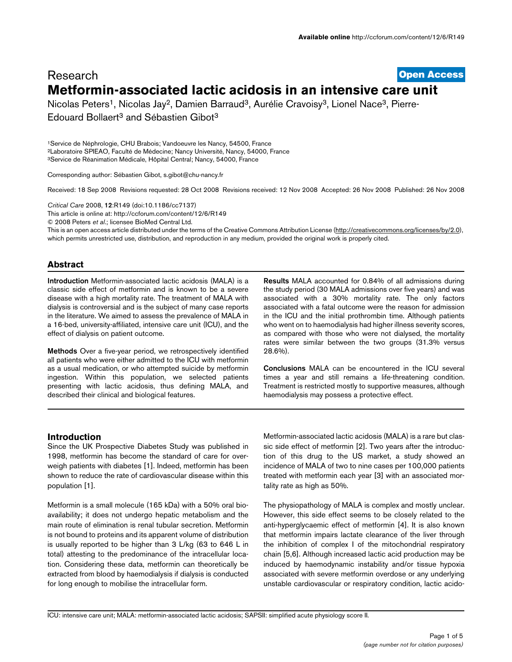# **[Open Access](http://www.biomedcentral.com/info/about/charter/)** Research **Metformin-associated lactic acidosis in an intensive care unit**

Nicolas Peters<sup>1</sup>, Nicolas Jay<sup>2</sup>, Damien Barraud<sup>3</sup>, Aurélie Cravoisy<sup>3</sup>, Lionel Nace<sup>3</sup>, Pierre-Edouard Bollaert<sup>3</sup> and Sébastien Gibot<sup>3</sup>

1Service de Néphrologie, CHU Brabois; Vandoeuvre les Nancy, 54500, France 2Laboratoire SPIEAO, Faculté de Médecine; Nancy Université, Nancy, 54000, France 3Service de Réanimation Médicale, Hôpital Central; Nancy, 54000, France

Corresponding author: Sébastien Gibot, s.gibot@chu-nancy.fr

Received: 18 Sep 2008 Revisions requested: 28 Oct 2008 Revisions received: 12 Nov 2008 Accepted: 26 Nov 2008 Published: 26 Nov 2008

*Critical Care* 2008, **12**:R149 (doi:10.1186/cc7137)

[This article is online at: http://ccforum.com/content/12/6/R149](http://ccforum.com/content/12/6/R149)

© 2008 Peters *et al*.; licensee BioMed Central Ltd.

This is an open access article distributed under the terms of the Creative Commons Attribution License [\(http://creativecommons.org/licenses/by/2.0\)](http://creativecommons.org/licenses/by/2.0), which permits unrestricted use, distribution, and reproduction in any medium, provided the original work is properly cited.

# **Abstract**

**Introduction** Metformin-associated lactic acidosis (MALA) is a classic side effect of metformin and is known to be a severe disease with a high mortality rate. The treatment of MALA with dialysis is controversial and is the subject of many case reports in the literature. We aimed to assess the prevalence of MALA in a 16-bed, university-affiliated, intensive care unit (ICU), and the effect of dialysis on patient outcome.

**Methods** Over a five-year period, we retrospectively identified all patients who were either admitted to the ICU with metformin as a usual medication, or who attempted suicide by metformin ingestion. Within this population, we selected patients presenting with lactic acidosis, thus defining MALA, and described their clinical and biological features.

**Results** MALA accounted for 0.84% of all admissions during the study period (30 MALA admissions over five years) and was associated with a 30% mortality rate. The only factors associated with a fatal outcome were the reason for admission in the ICU and the initial prothrombin time. Although patients who went on to haemodialysis had higher illness severity scores, as compared with those who were not dialysed, the mortality rates were similar between the two groups (31.3% versus 28.6%).

**Conclusions** MALA can be encountered in the ICU several times a year and still remains a life-threatening condition. Treatment is restricted mostly to supportive measures, although haemodialysis may possess a protective effect.

# **Introduction**

Since the UK Prospective Diabetes Study was published in 1998, metformin has become the standard of care for overweigh patients with diabetes [1]. Indeed, metformin has been shown to reduce the rate of cardiovascular disease within this population [1].

Metformin is a small molecule (165 kDa) with a 50% oral bioavailability; it does not undergo hepatic metabolism and the main route of elimination is renal tubular secretion. Metformin is not bound to proteins and its apparent volume of distribution is usually reported to be higher than 3 L/kg (63 to 646 L in total) attesting to the predominance of the intracellular location. Considering these data, metformin can theoretically be extracted from blood by haemodialysis if dialysis is conducted for long enough to mobilise the intracellular form.

Metformin-associated lactic acidosis (MALA) is a rare but classic side effect of metformin [2]. Two years after the introduction of this drug to the US market, a study showed an incidence of MALA of two to nine cases per 100,000 patients treated with metformin each year [3] with an associated mortality rate as high as 50%.

The physiopathology of MALA is complex and mostly unclear. However, this side effect seems to be closely related to the anti-hyperglycaemic effect of metformin [4]. It is also known that metformin impairs lactate clearance of the liver through the inhibition of complex I of the mitochondrial respiratory chain [5,6]. Although increased lactic acid production may be induced by haemodynamic instability and/or tissue hypoxia associated with severe metformin overdose or any underlying unstable cardiovascular or respiratory condition, lactic acido-

ICU: intensive care unit; MALA: metformin-associated lactic acidosis; SAPSII: simplified acute physiology score II.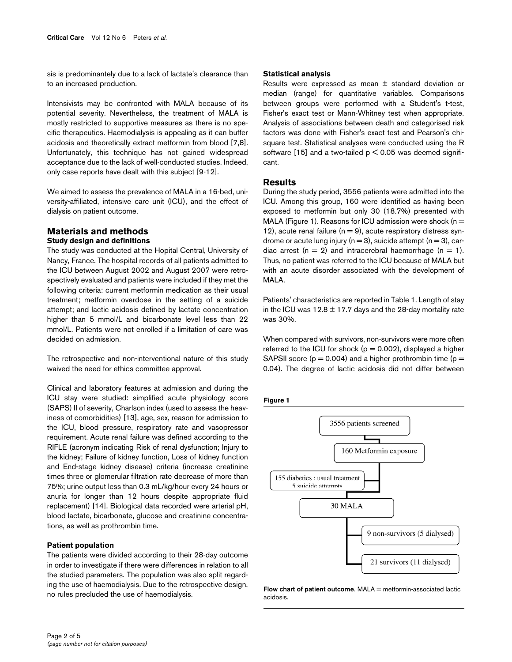sis is predominantely due to a lack of lactate's clearance than to an increased production.

Intensivists may be confronted with MALA because of its potential severity. Nevertheless, the treatment of MALA is mostly restricted to supportive measures as there is no specific therapeutics. Haemodialysis is appealing as it can buffer acidosis and theoretically extract metformin from blood [7,8]. Unfortunately, this technique has not gained widespread acceptance due to the lack of well-conducted studies. Indeed, only case reports have dealt with this subject [9-12].

We aimed to assess the prevalence of MALA in a 16-bed, university-affiliated, intensive care unit (ICU), and the effect of dialysis on patient outcome.

# **Materials and methods Study design and definitions**

The study was conducted at the Hopital Central, University of Nancy, France. The hospital records of all patients admitted to the ICU between August 2002 and August 2007 were retrospectively evaluated and patients were included if they met the following criteria: current metformin medication as their usual treatment; metformin overdose in the setting of a suicide attempt; and lactic acidosis defined by lactate concentration higher than 5 mmol/L and bicarbonate level less than 22 mmol/L. Patients were not enrolled if a limitation of care was decided on admission.

The retrospective and non-interventional nature of this study waived the need for ethics committee approval.

Clinical and laboratory features at admission and during the ICU stay were studied: simplified acute physiology score (SAPS) II of severity, Charlson index (used to assess the heaviness of comorbidities) [13], age, sex, reason for admission to the ICU, blood pressure, respiratory rate and vasopressor requirement. Acute renal failure was defined according to the RIFLE (acronym indicating Risk of renal dysfunction; Injury to the kidney; Failure of kidney function, Loss of kidney function and End-stage kidney disease) criteria (increase creatinine times three or glomerular filtration rate decrease of more than 75%; urine output less than 0.3 mL/kg/hour every 24 hours or anuria for longer than 12 hours despite appropriate fluid replacement) [14]. Biological data recorded were arterial pH, blood lactate, bicarbonate, glucose and creatinine concentrations, as well as prothrombin time.

### **Patient population**

The patients were divided according to their 28-day outcome in order to investigate if there were differences in relation to all the studied parameters. The population was also split regarding the use of haemodialysis. Due to the retrospective design, no rules precluded the use of haemodialysis.

### **Statistical analysis**

Results were expressed as mean ± standard deviation or median (range) for quantitative variables. Comparisons between groups were performed with a Student's t-test, Fisher's exact test or Mann-Whitney test when appropriate. Analysis of associations between death and categorised risk factors was done with Fisher's exact test and Pearson's chisquare test. Statistical analyses were conducted using the R software [15] and a two-tailed  $p < 0.05$  was deemed significant.

### **Results**

During the study period, 3556 patients were admitted into the ICU. Among this group, 160 were identified as having been exposed to metformin but only 30 (18.7%) presented with MALA (Figure 1). Reasons for ICU admission were shock ( $n =$ 12), acute renal failure ( $n = 9$ ), acute respiratory distress syndrome or acute lung injury ( $n = 3$ ), suicide attempt ( $n = 3$ ), cardiac arrest ( $n = 2$ ) and intracerebral haemorrhage ( $n = 1$ ). Thus, no patient was referred to the ICU because of MALA but with an acute disorder associated with the development of MALA.

Patients' characteristics are reported in Table 1. Length of stay in the ICU was  $12.8 \pm 17.7$  days and the 28-day mortality rate was 30%.

When compared with survivors, non-survivors were more often referred to the ICU for shock ( $p = 0.002$ ), displayed a higher SAPSII score ( $p = 0.004$ ) and a higher prothrombin time ( $p =$ 0.04). The degree of lactic acidosis did not differ between





**Flow chart of patient outcome. MALA = metformin-associated lactic** acidosis.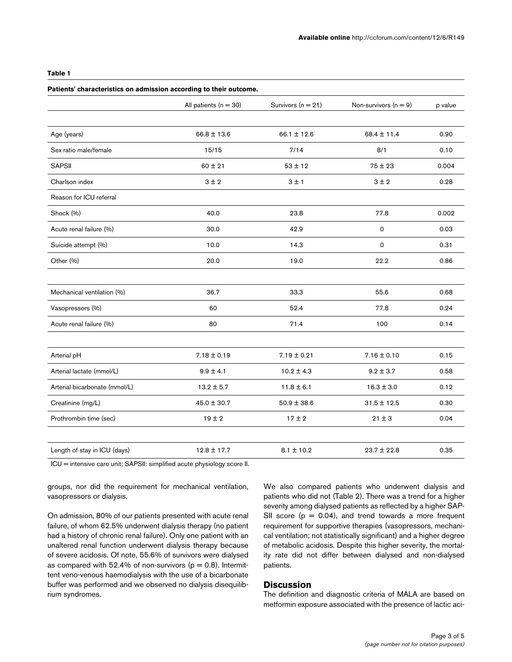# **Table 1**

# **Patients' characteristics on admission according to their outcome.**

|                               | All patients ( $n = 30$ ) | Survivors ( $n = 21$ ) | Non-survivors $(n = 9)$ | p value |
|-------------------------------|---------------------------|------------------------|-------------------------|---------|
|                               |                           |                        |                         |         |
| Age (years)                   | $66.8 \pm 13.6$           | $66.1 \pm 12.6$        | $68.4 \pm 11.4$         | 0.90    |
| Sex ratio male/female         | 15/15                     | 7/14                   | 8/1                     | 0.10    |
| <b>SAPSII</b>                 | $60 \pm 21$               | $53 \pm 12$            | $75 \pm 23$             | 0.004   |
| Charlson index                | 3±2                       | 3 ± 1                  | 3±2                     | 0.28    |
| Reason for ICU referral       |                           |                        |                         |         |
| Shock (%)                     | 40.0                      | 23.8                   | 77.8                    | 0.002   |
| Acute renal failure (%)       | 30.0                      | 42.9                   | 0                       | 0.03    |
| Suicide attempt (%)           | 10.0                      | 14.3                   | $\Omega$                | 0.31    |
| Other (%)                     | 20.0                      | 19.0                   | 22.2                    | 0.86    |
|                               |                           |                        |                         |         |
| Mechanical ventilation (%)    | 36.7                      | 33.3                   | 55.6                    | 0.68    |
| Vasopressors (%)              | 60                        | 52.4                   | 77.8                    | 0.24    |
| Acute renal failure (%)       | 80                        | 71.4                   | 100                     | 0.14    |
|                               |                           |                        |                         |         |
| Arterial pH                   | $7.18 \pm 0.19$           | $7.19 \pm 0.21$        | $7.16 \pm 0.10$         | 0.15    |
| Arterial lactate (mmol/L)     | $9.9 \pm 4.1$             | $10.2 \pm 4.3$         | $9.2 \pm 3.7$           | 0.58    |
| Arterial bicarbonate (mmol/L) | $13.2 \pm 5.7$            | $11.8 \pm 6.1$         | $16.3 \pm 3.0$          | 0.12    |
| Creatinine (mg/L)             | $45.0 \pm 30.7$           | $50.9 \pm 38.6$        | $31.5 \pm 12.5$         | 0.30    |
| Prothrombin time (sec)        | $19 \pm 2$                | $17 \pm 2$             | $21 \pm 3$              | 0.04    |
|                               |                           |                        |                         |         |
| Length of stay in ICU (days)  | $12.8 \pm 17.7$           | $8.1 \pm 10.2$         | $23.7 \pm 22.8$         | 0.35    |

ICU = intensive care unit; SAPSII: simplified acute physiology score II.

groups, nor did the requirement for mechanical ventilation, vasopressors or dialysis.

On admission, 80% of our patients presented with acute renal failure, of whom 62.5% underwent dialysis therapy (no patient had a history of chronic renal failure). Only one patient with an unaltered renal function underwent dialysis therapy because of severe acidosis. Of note, 55.6% of survivors were dialysed as compared with 52.4% of non-survivors ( $p = 0.8$ ). Intermittent veno-venous haemodialysis with the use of a bicarbonate buffer was performed and we observed no dialysis disequilibrium syndromes.

We also compared patients who underwent dialysis and patients who did not (Table 2). There was a trend for a higher severity among dialysed patients as reflected by a higher SAP-SII score  $(p = 0.04)$ , and trend towards a more frequent requirement for supportive therapies (vasopressors, mechanical ventilation; not statistically significant) and a higher degree of metabolic acidosis. Despite this higher severity, the mortality rate did not differ between dialysed and non-dialysed patients.

# **Discussion**

The definition and diagnostic criteria of MALA are based on metformin exposure associated with the presence of lactic aci-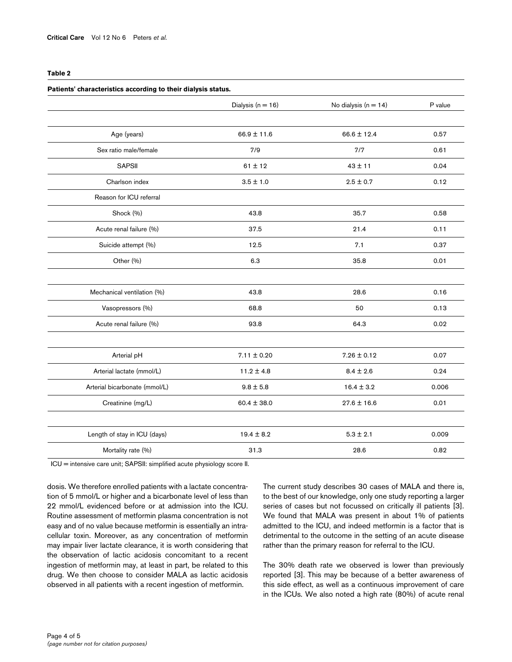### **Table 2**

|                               | Patients' characteristics according to their dialysis status. |                        |         |  |  |  |
|-------------------------------|---------------------------------------------------------------|------------------------|---------|--|--|--|
|                               | Dialysis ( $n = 16$ )                                         | No dialysis $(n = 14)$ | P value |  |  |  |
| Age (years)                   | $66.9 \pm 11.6$                                               | $66.6 \pm 12.4$        | 0.57    |  |  |  |
| Sex ratio male/female         | 7/9                                                           | 7/7                    | 0.61    |  |  |  |
| <b>SAPSII</b>                 | $61 \pm 12$                                                   | $43 \pm 11$            | 0.04    |  |  |  |
| Charlson index                | $3.5 \pm 1.0$                                                 | $2.5 \pm 0.7$          | 0.12    |  |  |  |
| Reason for ICU referral       |                                                               |                        |         |  |  |  |
| Shock (%)                     | 43.8                                                          | 35.7                   | 0.58    |  |  |  |
| Acute renal failure (%)       | 37.5                                                          | 21.4                   | 0.11    |  |  |  |
| Suicide attempt (%)           | 12.5                                                          | 7.1                    | 0.37    |  |  |  |
| Other (%)                     | 6.3                                                           | 35.8                   | 0.01    |  |  |  |
| Mechanical ventilation (%)    | 43.8                                                          | 28.6                   | 0.16    |  |  |  |
| Vasopressors (%)              | 68.8                                                          | 50                     | 0.13    |  |  |  |
| Acute renal failure (%)       | 93.8                                                          | 64.3                   | 0.02    |  |  |  |
|                               |                                                               |                        |         |  |  |  |
| Arterial pH                   | $7.11 \pm 0.20$                                               | $7.26 \pm 0.12$        | 0.07    |  |  |  |
| Arterial lactate (mmol/L)     | $11.2 \pm 4.8$                                                | $8.4 \pm 2.6$          | 0.24    |  |  |  |
| Arterial bicarbonate (mmol/L) | $9.8 \pm 5.8$                                                 | $16.4 \pm 3.2$         | 0.006   |  |  |  |
| Creatinine (mg/L)             | $60.4 \pm 38.0$                                               | $27.6 \pm 16.6$        | 0.01    |  |  |  |
|                               |                                                               |                        |         |  |  |  |
| Length of stay in ICU (days)  | $19.4 \pm 8.2$                                                | $5.3 \pm 2.1$          | 0.009   |  |  |  |
| Mortality rate (%)            | 31.3                                                          | 28.6                   | 0.82    |  |  |  |

ICU = intensive care unit; SAPSII: simplified acute physiology score II.

dosis. We therefore enrolled patients with a lactate concentration of 5 mmol/L or higher and a bicarbonate level of less than 22 mmol/L evidenced before or at admission into the ICU. Routine assessment of metformin plasma concentration is not easy and of no value because metformin is essentially an intracellular toxin. Moreover, as any concentration of metformin may impair liver lactate clearance, it is worth considering that the observation of lactic acidosis concomitant to a recent ingestion of metformin may, at least in part, be related to this drug. We then choose to consider MALA as lactic acidosis observed in all patients with a recent ingestion of metformin.

The current study describes 30 cases of MALA and there is, to the best of our knowledge, only one study reporting a larger series of cases but not focussed on critically ill patients [3]. We found that MALA was present in about 1% of patients admitted to the ICU, and indeed metformin is a factor that is detrimental to the outcome in the setting of an acute disease rather than the primary reason for referral to the ICU.

The 30% death rate we observed is lower than previously reported [3]. This may be because of a better awareness of this side effect, as well as a continuous improvement of care in the ICUs. We also noted a high rate (80%) of acute renal